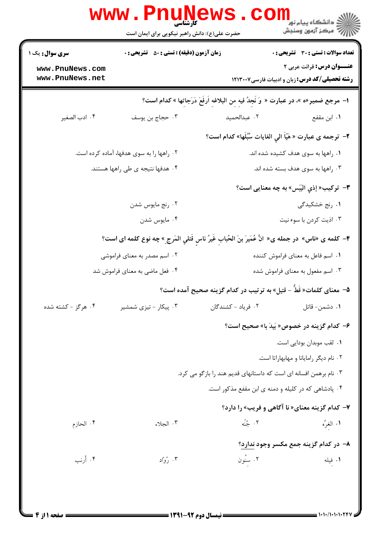|                                           | <b>www.PnuNewS</b><br>۔<br>کارشناس <i>ی</i><br>حضرت علی(ع): دانش راهبر نیکویی برای ایمان است       |                                                                                        | ڪ دانشڪاه پيام نور<br>ا∛ مرڪز آزمون وسنڊش                                                  |  |
|-------------------------------------------|----------------------------------------------------------------------------------------------------|----------------------------------------------------------------------------------------|--------------------------------------------------------------------------------------------|--|
| <b>سری سوال :</b> یک ۱                    | <b>زمان آزمون (دقیقه) : تستی : 50 ٪ تشریحی : 0</b>                                                 |                                                                                        | <b>تعداد سوالات : تستی : 30 ٪ تشریحی : 0</b>                                               |  |
| www.PnuNews.com<br>www.PnuNews.net        |                                                                                                    |                                                                                        | <b>عنـــوان درس:</b> قرائت عربی ۲<br><b>رشته تحصیلی/کد درس: زبان و ادبیات فارسی1۲۱۳۰۰۷</b> |  |
|                                           |                                                                                                    | ا– مرجع ضمير«ه »، در عبارت « وَ نَجِدُ فيهِ مِن البلاغهِ اَرفَعَ دَرَجاتها » كدام است؟ |                                                                                            |  |
| ۰۴ ادب الصغير                             | ۰۳ حجاج بن يوسف                                                                                    | ٢. عبدالحميد                                                                           | ۰۱ ابن مقفع                                                                                |  |
|                                           |                                                                                                    | ۲- ترجمه ی عبارت « هَیّاً الیِ الغایات سُبُلَها» کدام است؟                             |                                                                                            |  |
| ۰۲ راهها را به سوی هدفها، آماده کرده است. |                                                                                                    |                                                                                        | ۰۱ راهها به سوی هدف کشیده شده اند.                                                         |  |
|                                           | ۰۴ هدفها نتیجه ی طی راهها هستند.                                                                   | ۰۳ راهها به سوی هدف بسته شده اند.                                                      |                                                                                            |  |
|                                           |                                                                                                    |                                                                                        | ۳- ترکيب« إذي اليَبَس» به چه معنايي است؟                                                   |  |
|                                           | ۰۲ رنج مايوس شدن                                                                                   |                                                                                        | ۰۱ <sub>ر</sub> نج خشکیدگی                                                                 |  |
|                                           | ۰۴ مايوس شدن                                                                                       |                                                                                        | ۰۳ اذیت کردن با سوء نیت                                                                    |  |
|                                           | ۴– كلمه ى «ناس» در جمله ى« انَّ عُمَيرَ بنَ الحُبابِ غَيرُ ناسٍ قَتلي المَرجِ® چه نوع كلمه اى است؟ |                                                                                        |                                                                                            |  |
|                                           | ۲. اسم مصدر به معنای فراموشی                                                                       | ۰۱ اسم فاعل به معنای فراموش کننده                                                      |                                                                                            |  |
|                                           | ۰۴ فعل ماضي به معناي فراموش شد                                                                     | ۰۳ اسم مفعول به معنای فراموش شده                                                       |                                                                                            |  |
|                                           |                                                                                                    | ۵–  معنای کلمات« قَطٌ – قتیل» به تر تیب در کدام گزینه صحیح آمده است؟                   |                                                                                            |  |
| ۰۴ هرگز - کشته شده                        | ۰۳ پیکار - تیزی شمشیر                                                                              | ۰۲ فرياد - كشندگان                                                                     | ۰۱ دشمن- قاتل                                                                              |  |
|                                           |                                                                                                    |                                                                                        | ۶- کدام گزینه در خصوص« بَیدَ با» صحیح است؟                                                 |  |
|                                           |                                                                                                    |                                                                                        | ۰۱ لقب موبدان بودایی است.                                                                  |  |
|                                           |                                                                                                    |                                                                                        | ۰۲ نام دیگر رامایانا و مهابهاراتا است.                                                     |  |
|                                           |                                                                                                    | ۰۳ نام برهمن افسانه ای است که داستانهای قدیم هند را بازگو می کرد.                      |                                                                                            |  |
|                                           |                                                                                                    | ۰۴ پادشاهی که در کلیله و دمنه ی ابن مقفع مذکور است.                                    |                                                                                            |  |
|                                           |                                                                                                    |                                                                                        | ۷- کدام گزینه معنای« نا آگاهی و فریب» را دارد؟                                             |  |
| ۰۴ الحازم                                 | ۰۳ الجلاء                                                                                          | ۰۲ جُنّه                                                                               | ١. الغرِّه                                                                                 |  |
|                                           |                                                                                                    |                                                                                        | ۸- در کدام گزینه جمع مکسر وجود ندارد؟                                                      |  |
| ۰۴ أرنب                                   | ۰۳ رُواد                                                                                           | ۰۲ سنَون                                                                               | ۰۱ فیله                                                                                    |  |
|                                           |                                                                                                    |                                                                                        |                                                                                            |  |
|                                           |                                                                                                    |                                                                                        |                                                                                            |  |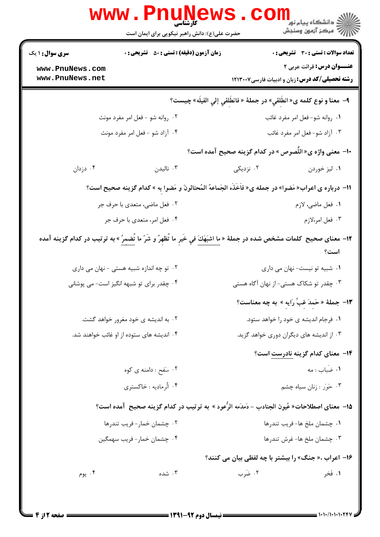| تعداد سوالات : تستي : 30 - تشريحي : 0<br><b>زمان آزمون (دقیقه) : تستی : 50 ٪ تشریحی : 0</b>                                                    | <b>سری سوال : ۱ یک</b>             |  |
|------------------------------------------------------------------------------------------------------------------------------------------------|------------------------------------|--|
| عنــوان درس: قرائت عربی ۲<br>رشته تحصیلی/کد درس: زبان و ادبیات فارسی ۱۲۱۳۰۰۷                                                                   | www.PnuNews.com<br>www.PnuNews.net |  |
| ٩- معنا و نوع كلمه ى« انطَلقي» در جملهٔ « فانطَلقي إلي الفيلَه» چيست؟                                                                          |                                    |  |
| ۰۲ روانه شو - فعل امر مفرد مونث<br>۰۱ روانه شو- فعل امر مفرد غائب                                                                              |                                    |  |
| ۰۳ آزاد شو- فعل امر مفرد غائب<br>۰۴ آزاد شو - فعل امر مفرد مونث                                                                                |                                    |  |
| ∙ا– معنی واژه ی« اللّصوص » در کدام گزینه صحیح آمده است؟                                                                                        |                                    |  |
| ۰۴ دزدان<br>ا ناليدن $\cdot$<br>۰۲ نزدیکی<br>۰۱ ليز خوردن                                                                                      |                                    |  |
| 11- درباره ی اعراب« مَضوا» در جمله ی« فاَخَذَه الجَماعهُ المُحتالونَ و مَضوا به » کدام گزینه صحیح است؟                                         |                                    |  |
| ۲. فعل ماضي، متعدي با حرف جر<br>٠١ فعل ماضي، لازم                                                                                              |                                    |  |
| ۰۴ فعل امر، متعدي با حرف جر<br>۰۳ فعل امر،لازم                                                                                                 |                                    |  |
| ۱۲− معنای صحیح  کلمات مشخص شده در جملهٔ « <mark>ما اشبَهَكَ في خَيرِ ما تُظهِرُ و شَرّ ما تُضمِرُ</mark> » به ترتیب در کدام گزینه آمده<br>است؟ |                                    |  |
| ۰۱ شبیه تو نیست- نهان می داری<br>۰۲ تو چه اندازه شبیه هستی - نهان می داری                                                                      |                                    |  |
| ۰۳ چقدر تو شکاک هستی- از نهان آگاه هستی<br>۰۴ چقدر برای تو شبهه انگیز است- می پوشانی                                                           |                                    |  |
| ۱۳- جملهٔ «حَمدَ غَبِّ رَايه » به چه معناست؟                                                                                                   |                                    |  |
| ۰۱ فرجام اندیشه ی خود را خواهد ستود.<br>۰۲ به اندیشه ی خود مغرور خواهد گشت.                                                                    |                                    |  |
| ۰۴ اندیشه های ستوده از او غائب خواهند شد.<br>۰۳ از اندیشه های دیگران دوری خواهد گزید.                                                          |                                    |  |
| <b>۱۴</b> - معنای کدام گزینه نادرست است؟                                                                                                       |                                    |  |
| ۰۱ ضباب : مه<br>۰۲ سَفَح : دامنه ی کوه                                                                                                         |                                    |  |
| ۰۴ الرمادیه : خاکستری<br>۰۳ حَوَر : زنان سياه چشم                                                                                              |                                    |  |
| 1۵– معنای اصطلاحات« عُیون الجنادب – دَمدَمه الرُّعود » به ترتیب در کدام گزینه صحیح  آمده است؟                                                  |                                    |  |
| ۰۲ چشمان خمار-فریب تندرها<br>٠١ چشمان ملخ ها- فريب تندرها                                                                                      |                                    |  |
| ۰۴ چشمان خمار- فريب سهمگين<br>۰۳ چشمان ملخ ها- غرش تندرها                                                                                      |                                    |  |
| ۱۶- اعراب ،« جنگ» را بیشتر با چه لفظی بیان می کنند؟                                                                                            |                                    |  |
| ۰۴ يوم<br>۰۲ ضَرب<br>١. فَخر<br>۰۳ شده                                                                                                         |                                    |  |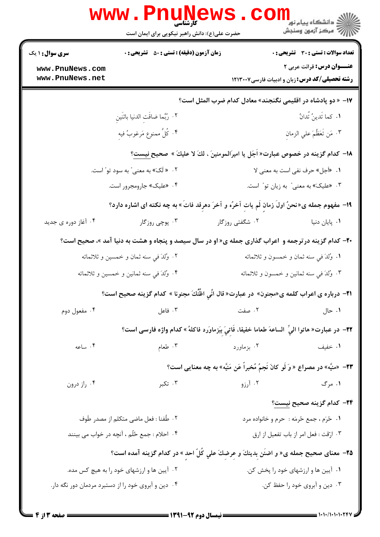|                                                                                               | <b>www.Pnunews</b><br>حضرت علی(ع): دانش راهبر نیکویی برای ایمان است                                        |                                                                                                                                                                                                                                  | ر دانشگاه پيام نور <mark>−</mark><br>ار∕* مرکز آزمون وسنجش |  |  |  |
|-----------------------------------------------------------------------------------------------|------------------------------------------------------------------------------------------------------------|----------------------------------------------------------------------------------------------------------------------------------------------------------------------------------------------------------------------------------|------------------------------------------------------------|--|--|--|
| <b>سری سوال : ۱ یک</b>                                                                        | <b>زمان آزمون (دقیقه) : تستی : 50 ٪ تشریحی : 0</b>                                                         |                                                                                                                                                                                                                                  | تعداد سوالات : تستي : 30 - تشريحي : 0                      |  |  |  |
| www.PnuNews.com                                                                               |                                                                                                            |                                                                                                                                                                                                                                  | عنــوان درس: قرائت عربی ۲                                  |  |  |  |
| www.PnuNews.net                                                                               |                                                                                                            |                                                                                                                                                                                                                                  | <b>رشته تحصیلی/کد درس: زبان و ادبیات فارسی1۲۱۳۰۰۷</b>      |  |  |  |
| ۱۷– « دو پادشاه در اقلیمی نگنجند» معادل کدام ضرب المثل است؟                                   |                                                                                                            |                                                                                                                                                                                                                                  |                                                            |  |  |  |
|                                                                                               | ٢. رُبَّما ضاقَتِ الدنيا باثَنَين                                                                          |                                                                                                                                                                                                                                  | <b>۱.</b> كما تَدينُ تُدانُ                                |  |  |  |
|                                                                                               | ۴. كُلُّ ممنوع مَرغوبٌ فيه                                                                                 |                                                                                                                                                                                                                                  | ٠٣ مَن تَعَظَّمَ علي الزمان                                |  |  |  |
| ۱۸− کدام گزینه در خصوص عبارت« اُجَل یا امیرَالمومنینَ ، لكَ لا علیكَ » صحیح نیست؟             |                                                                                                            |                                                                                                                                                                                                                                  |                                                            |  |  |  |
| ۰۲ « لَکَ» به معنی ّ به سود تو ّ است.                                                         |                                                                                                            |                                                                                                                                                                                                                                  | ۰۱ «أجل» حرف نفي است به معنى لا                            |  |  |  |
| ۰۴ «علیک» جارومجرور است.                                                                      |                                                                                                            | ۰۳ هلیک» به معنی ً به زیان تو ً است.                                                                                                                                                                                             |                                                            |  |  |  |
| ۱۹- مفهوم جمله ی«نحنُ اولَ زمانٍ لَم یاتِ آخرُه و آخرَ دهرِقد فاتَ» به چه نکته ای اشاره دارد؟ |                                                                                                            |                                                                                                                                                                                                                                  |                                                            |  |  |  |
| ۰۴ آغاز دوره ی جدید                                                                           | ۰۳ پوچي روزگار                                                                                             | ۰۲ شگفتی روزگار                                                                                                                                                                                                                  | ٠١. پايان دنيا                                             |  |  |  |
|                                                                                               | <b>۳۰</b> - کدام گزینه درترجمه و اعراب گذاری جمله ی« او در سال سیصد و پنجاه و هشت به دنیا آمد »، صحیح است؟ |                                                                                                                                                                                                                                  |                                                            |  |  |  |
|                                                                                               | ۰۲ وُلدَ في سنه ثمان و خمسين و ثلاثمائه                                                                    |                                                                                                                                                                                                                                  | ٠١ وُلدَ في سنه ثمان و خمسون و ثلاثمائه                    |  |  |  |
| ۰۴ وُلدَ في سنه ثمانين و خمسين و ثلاثمائه                                                     |                                                                                                            | ۰۳ وُلدَ في سنه ثمانين و خمسون و ثلاثمائه                                                                                                                                                                                        |                                                            |  |  |  |
|                                                                                               | ۲۱− درباره ی اعراب کلمه ی«مجنون» در عبارت« قال انِّي اظُنُّكَ مجنونا » کدام گزينه صحيح است؟                |                                                                                                                                                                                                                                  |                                                            |  |  |  |
| ۰۴ مفعول دوم                                                                                  |                                                                                                            | ۰۱ حال الله بين مسلم الله مسلم الله عنه الله عنه الله عنه الله عنه الله عنه الله عنه الله عنه الله عنه الله عن<br>الله عنه الله عنه الله عنه الله عنه الله عنه الله عنه الله عنه الله عنه الله عنه الله عنه الله عنه الله عنه ال |                                                            |  |  |  |
|                                                                                               | ٢٢- در عبارت« هاتوا اليِّ  الساعهَ طعاما خفيفا، فَاتِيَ بِبَرْماوَرد فاكلهُ» كدام واژه فارسى است؟          |                                                                                                                                                                                                                                  |                                                            |  |  |  |
| ۰۴ ساعه                                                                                       | $\mathbf{r}$ delay.                                                                                        | ۰۲ بزماورد                                                                                                                                                                                                                       | ۰۱ خفیف                                                    |  |  |  |
|                                                                                               |                                                                                                            | 7۳-  «منيَّه» در مصراع « وَ لَو كانَ نَجمٌ مُخبراً عَن مَنيَّه» به چه معنایی است؟                                                                                                                                                |                                                            |  |  |  |
| ۰۴ راز درون                                                                                   | ۰۳ تکبر                                                                                                    |                                                                                                                                                                                                                                  | ۱. مرگ میسی است که آرزو                                    |  |  |  |
|                                                                                               |                                                                                                            |                                                                                                                                                                                                                                  | <b>۲۴</b> – کدام گزینه صحیح <u>نیست</u> ؟                  |  |  |  |
| ۰۲ طُفنا : فعل ماضي متكلم از مصدر طَوف                                                        |                                                                                                            |                                                                                                                                                                                                                                  | ۰۱ ځرّم ، جمع ځرمّه : حرم و خانواده مرد                    |  |  |  |
| ۰۴ احلام : جمع حُلُم ، آنچه در خواب می بینند                                                  |                                                                                                            | ۰۳ ارّقت : فعل امر از باب تفعیل از ارق                                                                                                                                                                                           |                                                            |  |  |  |
|                                                                                               | ۳۵- معنای صحیح جمله ی« و اضنَن بِدینكَ و عِرضِكَ علي كُلِّ احدِ » در كدام گزینه آمده است؟                  |                                                                                                                                                                                                                                  |                                                            |  |  |  |
| ۰۲ آیین ها و ارزشهای خود را به هیچ کس مده.                                                    |                                                                                                            | ۰۱ آیین ها و ارزشهای خود را پخش کن.                                                                                                                                                                                              |                                                            |  |  |  |
|                                                                                               | ۰۴ دین و آبروی خود را از دستبرد مردمان دور نگه دار.                                                        |                                                                                                                                                                                                                                  | ۰۳ دین و آبروی خود را حفظ کن.                              |  |  |  |
|                                                                                               |                                                                                                            |                                                                                                                                                                                                                                  |                                                            |  |  |  |

 $= 1.1 - 11.1 - 1.77$